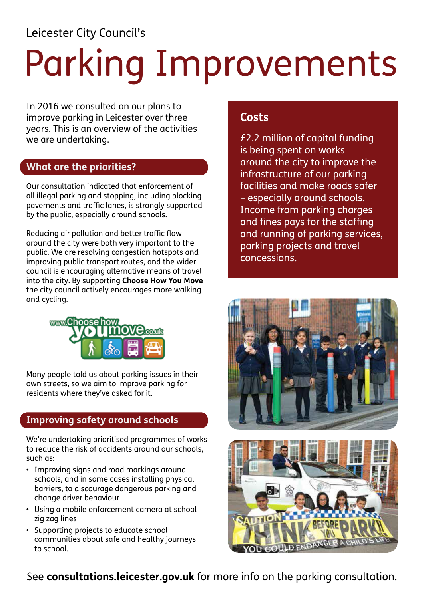Leicester City Council's

# Parking Improvements

In 2016 we consulted on our plans to improve parking in Leicester over three years. This is an overview of the activities we are undertaking.

### **What are the priorities?**

Our consultation indicated that enforcement of all illegal parking and stopping, including blocking pavements and traffic lanes, is strongly supported by the public, especially around schools.

Reducing air pollution and better traffic flow around the city were both very important to the public. We are resolving congestion hotspots and improving public transport routes, and the wider council is encouraging alternative means of travel into the city. By supporting **[Choose How You Move](http://www.choosehowyoumove.co.uk)** the city council actively encourages more walking and cycling.



Many people told us about parking issues in their own streets, so we aim to improve parking for residents where they've asked for it.

# **Improving safety around schools**

We're undertaking prioritised programmes of works to reduce the risk of accidents around our schools, such as:

- Improving signs and road markings around schools, and in some cases installing physical barriers, to discourage dangerous parking and change driver behaviour
- • Using a mobile enforcement camera at school zig zag lines
- • Supporting projects to educate school communities about safe and healthy journeys to school.

## **Costs**

£2.2 million of capital funding is being spent on works around the city to improve the infrastructure of our parking facilities and make roads safer – especially around schools. Income from parking charges and fines pays for the staffing and running of parking services, parking projects and travel concessions.





See **[consultations.leicester.gov.uk](https://www.consultations.leicester.gov.uk)** for more info on the parking consultation.